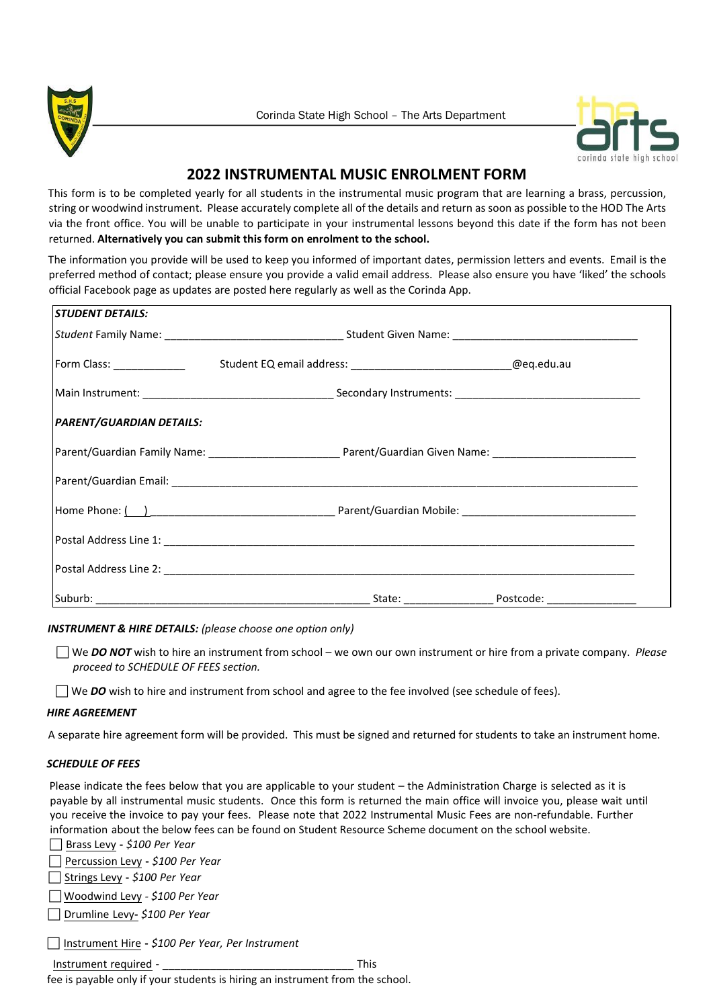



# **2022 INSTRUMENTAL MUSIC ENROLMENT FORM**

This form is to be completed yearly for all students in the instrumental music program that are learning a brass, percussion, string or woodwind instrument. Please accurately complete all of the details and return as soon as possible to the HOD The Arts via the front office. You will be unable to participate in your instrumental lessons beyond this date if the form has not been returned. **Alternatively you can submit this form on enrolment to the school.** 

The information you provide will be used to keep you informed of important dates, permission letters and events. Email is the preferred method of contact; please ensure you provide a valid email address. Please also ensure you have 'liked' the schools official Facebook page as updates are posted here regularly as well as the Corinda App.

| <b>STUDENT DETAILS:</b>         |  |
|---------------------------------|--|
|                                 |  |
|                                 |  |
|                                 |  |
| <b>PARENT/GUARDIAN DETAILS:</b> |  |
|                                 |  |
|                                 |  |
|                                 |  |
|                                 |  |
|                                 |  |
|                                 |  |

# *INSTRUMENT & HIRE DETAILS: (please choose one option only)*

 We *DO NOT* wish to hire an instrument from school – we own our own instrument or hire from a private company. *Please proceed to SCHEDULE OF FEES section.* 

We **DO** wish to hire and instrument from school and agree to the fee involved (see schedule of fees).

# *HIRE AGREEMENT*

A separate hire agreement form will be provided. This must be signed and returned for students to take an instrument home.

# *SCHEDULE OF FEES*

Please indicate the fees below that you are applicable to your student – the Administration Charge is selected as it is payable by all instrumental music students. Once this form is returned the main office will invoice you, please wait until you receive the invoice to pay your fees. Please note that 2022 Instrumental Music Fees are non-refundable. Further information about the below fees can be found on Student Resource Scheme document on the school website.

Brass Levy **-** *\$100 Per Year* 

Percussion Levy **-** *\$100 Per Year*

Strings Levy **-** *\$100 Per Year*

Woodwind Levy *- \$100 Per Year*

Drumline Levy**-** *\$100 Per Year*

Instrument Hire **-** *\$100 Per Year, Per Instrument* 

Instrument required - **Example 2** This

fee is payable only if your students is hiring an instrument from the school.